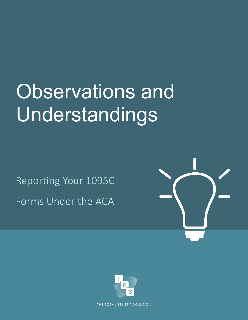# Observations and Understandings

Reporting Your 1095C Forms Under the ACA





THE TOTAL BENEFIT SOLUTION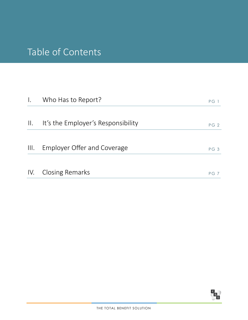# Table of Contents

| $\mathbf{I}$ .  | Who Has to Report?                 | PG <sub>1</sub> |
|-----------------|------------------------------------|-----------------|
|                 |                                    |                 |
| $\prod_{i=1}^n$ | It's the Employer's Responsibility | PG <sub>2</sub> |
|                 |                                    |                 |
| $\mathbb{H}$ .  | Employer Offer and Coverage        | PG <sub>3</sub> |
|                 | IV. Closing Remarks                | PGZ             |

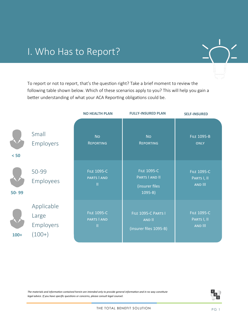# I. Who Has to Report?



To report or not to report, that's the question right? Take a brief moment to review the following table shown below. Which of these scenarios apply to you? This will help you gain a better understanding of what your ACA Reporting obligations could be.

|        |                                              | <b>NO HEALTH PLAN</b>                                     | <b>FULLY-INSURED PLAN</b>                                                   | <b>SELF-INSURED</b>                                 |
|--------|----------------------------------------------|-----------------------------------------------------------|-----------------------------------------------------------------------------|-----------------------------------------------------|
| < 50   | Small<br>Employers                           | <b>NO</b><br><b>REPORTING</b>                             | <b>NO</b><br><b>REPORTING</b>                                               | <b>FILE 1095-B</b><br><b>ONLY</b>                   |
| 50-99  | 50-99<br>Employees                           | <b>FILE 1095-C</b><br><b>PARTS   AND</b><br>$\mathbf{II}$ | <b>FILE 1095-C</b><br><b>PARTS I AND II</b><br>(insurer files<br>$1095 - B$ | <b>FILE 1095-C</b><br>PARTS I, II<br><b>AND III</b> |
| $100+$ | Applicable<br>Large<br>Employers<br>$(100+)$ | <b>FILE 1095-C</b><br><b>PARTS   AND</b><br>$\mathbf{  }$ | FILE 1095-C PARTS I<br>AND II<br>(insurer files 1095-B)                     | <b>FILE 1095-C</b><br>PARTS I, II<br>AND III        |

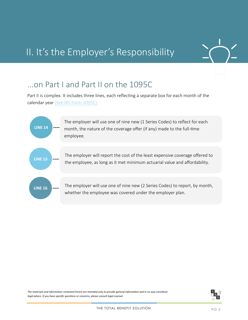# II. It's the Employer's Responsibility



### ...on Part I and Part II on the 1095C

Part II is complex. It includes three lines, each reflecting a separate box for each month of the calendar year [\(See IRS Form 1095C\).](http://www.irs.gov/pub/irs-pdf/f1095c.pdf)



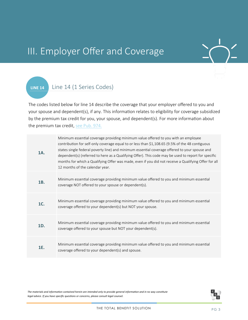

# III. Employer Offer and Coverage

#### Line 14 (1 Series Codes) **LINE 14**

The codes listed below for line 14 describe the coverage that your employer offered to you and your spouse and dependent(s), if any. This information relates to eligibility for coverage subsidized by the premium tax credit for you, your spouse, and dependent(s). For more information about the premium tax credit, [see Pub. 974.](http://www.irs.gov/pub/irs-pdf/p974.pdf)

| <b>1A.</b> | Minimum essential coverage providing minimum value offered to you with an employee<br>contribution for self-only coverage equal to or less than \$1,108.65 (9.5% of the 48 contiguous<br>states single federal poverty line) and minimum essential coverage offered to your spouse and<br>dependent(s) (referred to here as a Qualifying Offer). This code may be used to report for specific<br>months for which a Qualifying Offer was made, even if you did not receive a Qualifying Offer for all<br>12 months of the calendar year. |
|------------|------------------------------------------------------------------------------------------------------------------------------------------------------------------------------------------------------------------------------------------------------------------------------------------------------------------------------------------------------------------------------------------------------------------------------------------------------------------------------------------------------------------------------------------|
| 1B.        | Minimum essential coverage providing minimum value offered to you and minimum essential<br>coverage NOT offered to your spouse or dependent(s).                                                                                                                                                                                                                                                                                                                                                                                          |
| <b>1C.</b> | Minimum essential coverage providing minimum value offered to you and minimum essential<br>coverage offered to your dependent(s) but NOT your spouse.                                                                                                                                                                                                                                                                                                                                                                                    |
| 1D.        | Minimum essential coverage providing minimum value offered to you and minimum essential<br>coverage offered to your spouse but NOT your dependent(s).                                                                                                                                                                                                                                                                                                                                                                                    |
| 1E.        | Minimum essential coverage providing minimum value offered to you and minimum essential<br>coverage offered to your dependent(s) and spouse.                                                                                                                                                                                                                                                                                                                                                                                             |

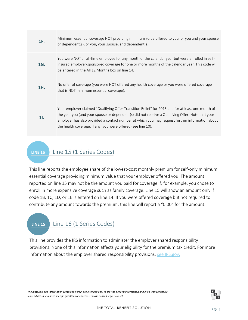| 1F. | Minimum essential coverage NOT providing minimum value offered to you, or you and your spouse<br>or dependent(s), or you, your spouse, and dependent(s).                                                                                                                                                                                                                |
|-----|-------------------------------------------------------------------------------------------------------------------------------------------------------------------------------------------------------------------------------------------------------------------------------------------------------------------------------------------------------------------------|
| 1G. | You were NOT a full-time employee for any month of the calendar year but were enrolled in self-<br>insured employer-sponsored coverage for one or more months of the calendar year. This code will<br>be entered in the All 12 Months box on line 14.                                                                                                                   |
| 1H. | No offer of coverage (you were NOT offered any health coverage or you were offered coverage<br>that is NOT minimum essential coverage).                                                                                                                                                                                                                                 |
| 11. | Your employer claimed "Qualifying Offer Transition Relief" for 2015 and for at least one month of<br>the year you (and your spouse or dependent(s) did not receive a Qualifying Offer. Note that your<br>employer has also provided a contact number at which you may request further information about<br>the health coverage, if any, you were offered (see line 10). |

#### Line 15 (1 Series Codes) **LINE 15**

This line reports the employee share of the lowest-cost monthly premium for self-only minimum essential coverage providing minimum value that your employer offered you. The amount reported on line 15 may not be the amount you paid for coverage if, for example, you chose to enroll in more expensive coverage such as family coverage. Line 15 will show an amount only if code 1B, 1C, 1D, or 1E is entered on line 14. If you were offered coverage but not required to contribute any amount towards the premium, this line will report a "0.00" for the amount.

#### Line 16 (1 Series Codes) **LINE 15**

This line provides the IRS information to administer the employer shared responsibility provisions. None of this information affects your eligibility for the premium tax credit. For more information about the employer shared responsibility provisions, [see IRS.gov.](http://www.irs.gov)

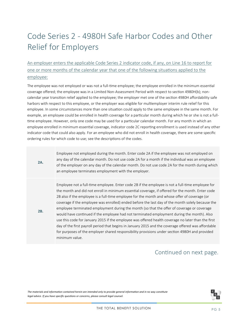## Code Series 2 - 4980H Safe Harbor Codes and Other Relief for Employers

#### An employer enters the applicable Code Series 2 indicator code, if any, on Line 16 to report for one or more months of the calendar year that one of the following situations applied to the employee:

The employee was not employed or was not a full-time employee; the employee enrolled in the minimum essential coverage offered; the employee was in a Limited Non-Assessment Period with respect to section 4980H(b); noncalendar year transition relief applied to the employee; the employer met one of the section 4980H affordability safe harbors with respect to this employee, or the employer was eligible for multiemployer interim rule relief for this employee. In some circumstances more than one situation could apply to the same employee in the same month. For example, an employee could be enrolled in health coverage for a particular month during which he or she is not a fulltime employee. However, only one code may be used for a particular calendar month. For any month in which an employee enrolled in minimum essential coverage, indicator code 2C reporting enrollment is used instead of any other indicator code that could also apply. For an employee who did not enroll in health coverage, there are some specific ordering rules for which code to use; see the descriptions of the codes.

**2A.**

**2B.**

Employee not employed during the month. Enter code 2A if the employee was not employed on any day of the calendar month. Do not use code 2A for a month if the individual was an employee of the employer on any day of the calendar month. Do not use code 2A for the month during which an employee terminates employment with the employer.

Employee not a full-time employee. Enter code 2B if the employee is not a full-time employee for the month and did not enroll in minimum essential coverage, if offered for the month. Enter code 2B also if the employee is a full-time employee for the month and whose offer of coverage (or coverage if the employee was enrolled) ended before the last day of the month solely because the employee terminated employment during the month (so that the offer of coverage or coverage would have continued if the employee had not terminated employment during the month). Also use this code for January 2015 if the employee was offered health coverage no later than the first day of the first payroll period that begins in January 2015 and the coverage offered was affordable for purposes of the employer shared responsibility provisions under section 4980H and provided minimum value.

#### Continued on next page.

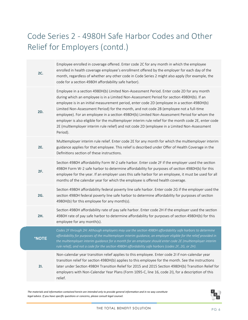# Code Series 2 - 4980H Safe Harbor Codes and Other Relief for Employers (contd.)

|  | <b>2C.</b> | Employee enrolled in coverage offered. Enter code 2C for any month in which the employee<br>enrolled in health coverage employee's enrollment offered by the employer for each day of the<br>month, regardless of whether any other code in Code Series 2 might also apply (for example, the<br>code for a section 4980H affordability safe harbor).                                                                                                                                                                                                                                                                                                                                                  |
|--|------------|-------------------------------------------------------------------------------------------------------------------------------------------------------------------------------------------------------------------------------------------------------------------------------------------------------------------------------------------------------------------------------------------------------------------------------------------------------------------------------------------------------------------------------------------------------------------------------------------------------------------------------------------------------------------------------------------------------|
|  | <b>2D.</b> | Employee in a section 4980H(b) Limited Non-Assessment Period. Enter code 2D for any month<br>during which an employee is in a Limited Non-Assessment Period for section 4980H(b). If an<br>employee is in an initial measurement period, enter code 2D (employee in a section 4980H(b)<br>Limited Non-Assessment Period) for the month, and not code 2B (employee not a full-time<br>employee). For an employee in a section 4980H(b) Limited Non-Assessment Period for whom the<br>employer is also eligible for the multiemployer interim rule relief for the month code 2E, enter code<br>2E (multiemployer interim rule relief) and not code 2D (employee in a Limited Non-Assessment<br>Period). |
|  | <b>2E.</b> | Multiemployer interim rule relief. Enter code 2E for any month for which the multiemployer interim<br>guidance applies for that employee. This relief is described under Offer of Health Coverage in the<br>Definitions section of these instructions.                                                                                                                                                                                                                                                                                                                                                                                                                                                |
|  | <b>2F.</b> | Section 4980H affordability Form W-2 safe harbor. Enter code 2F if the employer used the section<br>4980H Form W-2 safe harbor to determine affordability for purposes of section 4980H(b) for this<br>employee for the year. If an employer uses this safe harbor for an employee, it must be used for all<br>months of the calendar year for which the employee is offered health coverage.                                                                                                                                                                                                                                                                                                         |
|  | <b>2G.</b> | Section 4980H affordability federal poverty line safe harbor. Enter code 2G if the employer used the<br>section 4980H federal poverty line safe harbor to determine affordability for purposes of section<br>4980H(b) for this employee for any month(s).                                                                                                                                                                                                                                                                                                                                                                                                                                             |
|  | 2H.        | Section 4980H affordability rate of pay safe harbor. Enter code 2H if the employer used the section<br>4980H rate of pay safe harbor to determine affordability for purposes of section 4980H(b) for this<br>employee for any month(s).                                                                                                                                                                                                                                                                                                                                                                                                                                                               |
|  | *NOTE      | Codes 2F through 2H: Although employers may use the section 4980H affordability safe harbors to determine<br>affordability for purposes of the multiemployer interim guidance, an employer eligible for the relief provided in<br>the multiemployer interim guidance for a month for an employee should enter code 2E (multiemployer interim<br>rule relief), and not a code for the section 4980H affordability safe harbors (codes 2F, 2G, or 2H).                                                                                                                                                                                                                                                  |
|  | 21.        | Non-calendar year transition relief applies to this employee. Enter code 2I if non-calendar year<br>transition relief for section 4980H(b) applies to this employee for the month. See the instructions<br>later under Section 4980H Transition Relief for 2015 and 2015 Section 4980H(b) Transition Relief for<br>employers with Non-Calendar Year Plans (Form 1095-C, line 16, code 2I), for a description of this<br>relief.                                                                                                                                                                                                                                                                       |